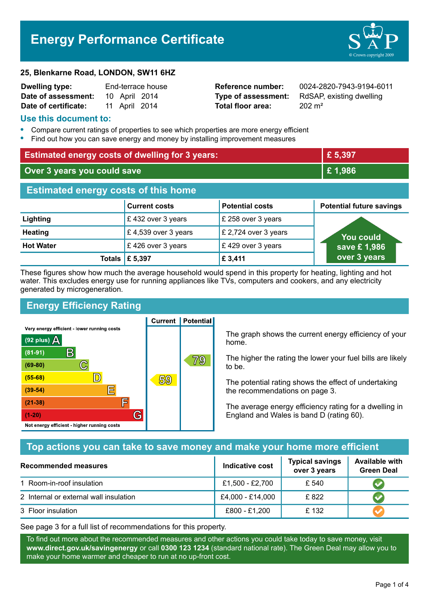# **Energy Performance Certificate**



| <b>Dwelling type:</b> | End-terrace house |               |  |
|-----------------------|-------------------|---------------|--|
| Date of assessment:   |                   | 10 April 2014 |  |
| Date of certificate:  |                   | 11 April 2014 |  |

**Total floor area:** 202 m<sup>2</sup>

**Reference number:** 0024-2820-7943-9194-6011 **Type of assessment:** RdSAP, existing dwelling

#### **Use this document to:**

- **•** Compare current ratings of properties to see which properties are more energy efficient
- **•** Find out how you can save energy and money by installing improvement measures

| <b>Estimated energy costs of dwelling for 3 years:</b> |                      | £5,397                 |                                 |  |
|--------------------------------------------------------|----------------------|------------------------|---------------------------------|--|
| Over 3 years you could save                            |                      | £1,986                 |                                 |  |
| <b>Estimated energy costs of this home</b>             |                      |                        |                                 |  |
|                                                        | <b>Current costs</b> | <b>Potential costs</b> | <b>Potential future savings</b> |  |
| Lighting                                               | £432 over 3 years    | £ 258 over 3 years     |                                 |  |
| <b>Heating</b>                                         | £4,539 over 3 years  | £ 2,724 over 3 years   | <u>You</u> could                |  |
| <b>Hot Water</b>                                       | £426 over 3 years    | £429 over 3 years      | save £1,986                     |  |
| Totals                                                 | £ 5,397              | £ 3,411                | over 3 years                    |  |

These figures show how much the average household would spend in this property for heating, lighting and hot water. This excludes energy use for running appliances like TVs, computers and cookers, and any electricity generated by microgeneration.

**Current | Potential** 

## **Energy Efficiency Rating**

Very energy efficient - lower running costs



The graph shows the current energy efficiency of your home.

The higher the rating the lower your fuel bills are likely to be.

The potential rating shows the effect of undertaking the recommendations on page 3.

The average energy efficiency rating for a dwelling in England and Wales is band D (rating 60).

## **Top actions you can take to save money and make your home more efficient**

| <b>Recommended measures</b>            | Indicative cost  | <b>Typical savings</b><br>over 3 years | <b>Available with</b><br><b>Green Deal</b> |
|----------------------------------------|------------------|----------------------------------------|--------------------------------------------|
| 1 Room-in-roof insulation              | £1,500 - £2,700  | £ 540                                  |                                            |
| 2 Internal or external wall insulation | £4,000 - £14,000 | £822                                   |                                            |
| 3 Floor insulation                     | £800 - £1,200    | £ 132                                  |                                            |

See page 3 for a full list of recommendations for this property.

To find out more about the recommended measures and other actions you could take today to save money, visit **www.direct.gov.uk/savingenergy** or call **0300 123 1234** (standard national rate). The Green Deal may allow you to make your home warmer and cheaper to run at no up-front cost.

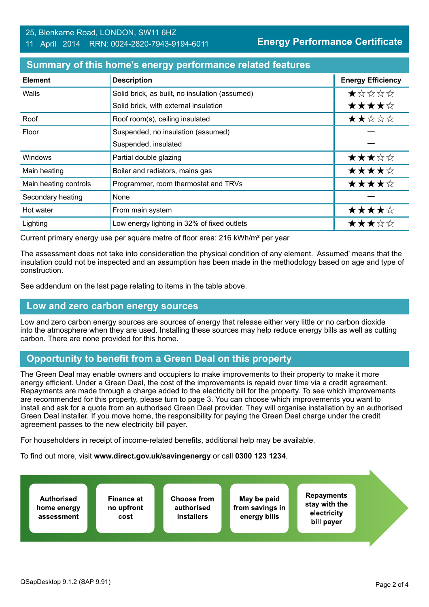#### 25, Blenkarne Road, LONDON, SW11 6HZ 11 April 2014 RRN: 0024-2820-7943-9194-6011

**Energy Performance Certificate**

#### **Summary of this home's energy performance related features**

| <b>Element</b>        | <b>Description</b>                             | <b>Energy Efficiency</b> |
|-----------------------|------------------------------------------------|--------------------------|
| Walls                 | Solid brick, as built, no insulation (assumed) | *****                    |
|                       | Solid brick, with external insulation          | ★★★★☆                    |
| Roof                  | Roof room(s), ceiling insulated                | ★★☆☆☆                    |
| Floor                 | Suspended, no insulation (assumed)             |                          |
|                       | Suspended, insulated                           |                          |
| Windows               | Partial double glazing                         | ★★★☆☆                    |
| Main heating          | Boiler and radiators, mains gas                | ★★★★☆                    |
| Main heating controls | Programmer, room thermostat and TRVs           | ★★★★☆                    |
| Secondary heating     | None                                           |                          |
| Hot water             | From main system                               | ★★★★☆                    |
| Lighting              | Low energy lighting in 32% of fixed outlets    | ★★★☆☆                    |

Current primary energy use per square metre of floor area: 216 kWh/m² per year

The assessment does not take into consideration the physical condition of any element. 'Assumed' means that the insulation could not be inspected and an assumption has been made in the methodology based on age and type of construction.

See addendum on the last page relating to items in the table above.

#### **Low and zero carbon energy sources**

Low and zero carbon energy sources are sources of energy that release either very little or no carbon dioxide into the atmosphere when they are used. Installing these sources may help reduce energy bills as well as cutting carbon. There are none provided for this home.

#### **Opportunity to benefit from a Green Deal on this property**

The Green Deal may enable owners and occupiers to make improvements to their property to make it more energy efficient. Under a Green Deal, the cost of the improvements is repaid over time via a credit agreement. Repayments are made through a charge added to the electricity bill for the property. To see which improvements are recommended for this property, please turn to page 3. You can choose which improvements you want to install and ask for a quote from an authorised Green Deal provider. They will organise installation by an authorised Green Deal installer. If you move home, the responsibility for paying the Green Deal charge under the credit agreement passes to the new electricity bill payer.

For householders in receipt of income-related benefits, additional help may be available.

To find out more, visit **www.direct.gov.uk/savingenergy** or call **0300 123 1234**.

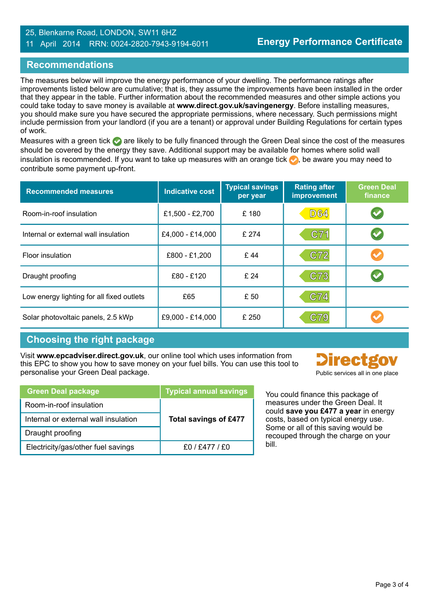#### 25, Blenkarne Road, LONDON, SW11 6HZ 11 April 2014 RRN: 0024-2820-7943-9194-6011

### **Recommendations**

The measures below will improve the energy performance of your dwelling. The performance ratings after improvements listed below are cumulative; that is, they assume the improvements have been installed in the order that they appear in the table. Further information about the recommended measures and other simple actions you could take today to save money is available at **www.direct.gov.uk/savingenergy**. Before installing measures, you should make sure you have secured the appropriate permissions, where necessary. Such permissions might include permission from your landlord (if you are a tenant) or approval under Building Regulations for certain types of work.

Measures with a green tick are likely to be fully financed through the Green Deal since the cost of the measures should be covered by the energy they save. Additional support may be available for homes where solid wall insulation is recommended. If you want to take up measures with an orange tick  $\bullet$ , be aware you may need to contribute some payment up-front.

| <b>Recommended measures</b>               | <b>Indicative cost</b> | <b>Typical savings</b><br>per year | <b>Rating after</b><br>improvement | <b>Green Deal</b><br>finance |
|-------------------------------------------|------------------------|------------------------------------|------------------------------------|------------------------------|
| Room-in-roof insulation                   | £1,500 - £2,700        | £180                               | <b>D64</b>                         |                              |
| Internal or external wall insulation      | £4,000 - £14,000       | £ 274                              | C71                                |                              |
| <b>Floor insulation</b>                   | £800 - £1,200          | £44                                | C72                                |                              |
| Draught proofing                          | £80 - £120             | £24                                | C73                                |                              |
| Low energy lighting for all fixed outlets | £65                    | £ 50                               | C74                                |                              |
| Solar photovoltaic panels, 2.5 kWp        | £9,000 - £14,000       | £ 250                              | C79                                |                              |

## **Choosing the right package**

Visit **www.epcadviser.direct.gov.uk**, our online tool which uses information from this EPC to show you how to save money on your fuel bills. You can use this tool to personalise your Green Deal package.

| Public services all in one place |
|----------------------------------|

| <b>Green Deal package</b>            | <b>Typical annual savings</b> |
|--------------------------------------|-------------------------------|
| Room-in-roof insulation              |                               |
| Internal or external wall insulation | <b>Total savings of £477</b>  |
| Draught proofing                     |                               |
| Electricity/gas/other fuel savings   | f0 / f477 / f0                |

You could finance this package of measures under the Green Deal. It could **save you £477 a year** in energy costs, based on typical energy use. Some or all of this saving would be recouped through the charge on your bill.